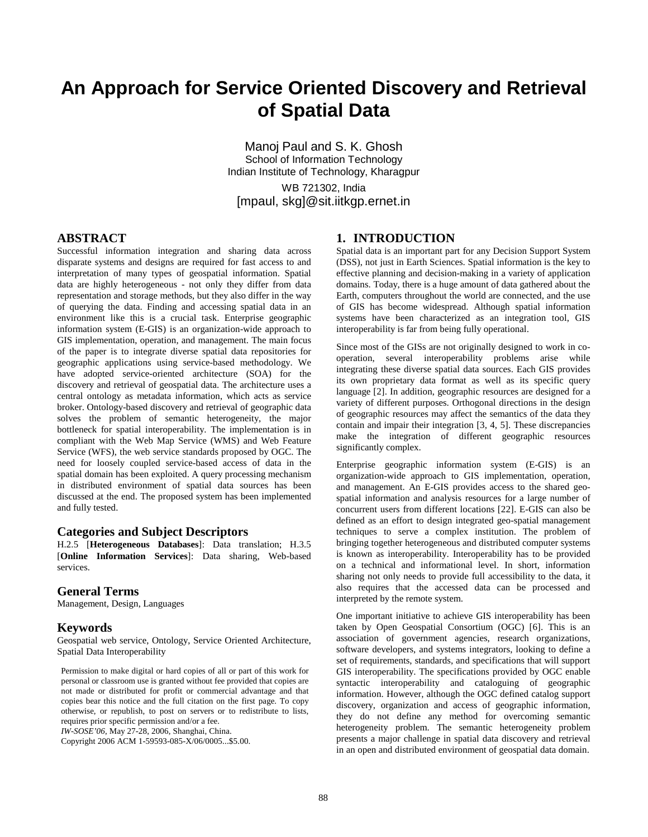# **An Approach for Service Oriented Discovery and Retrieval of Spatial Data**

Manoj Paul and S. K. Ghosh School of Information Technology Indian Institute of Technology, Kharagpur WB 721302, India

[mpaul, skg]@sit.iitkgp.ernet.in

## **ABSTRACT**

Successful information integration and sharing data across disparate systems and designs are required for fast access to and interpretation of many types of geospatial information. Spatial data are highly heterogeneous - not only they differ from data representation and storage methods, but they also differ in the way of querying the data. Finding and accessing spatial data in an environment like this is a crucial task. Enterprise geographic information system (E-GIS) is an organization-wide approach to GIS implementation, operation, and management. The main focus of the paper is to integrate diverse spatial data repositories for geographic applications using service-based methodology. We have adopted service-oriented architecture (SOA) for the discovery and retrieval of geospatial data. The architecture uses a central ontology as metadata information, which acts as service broker. Ontology-based discovery and retrieval of geographic data solves the problem of semantic heterogeneity, the major bottleneck for spatial interoperability. The implementation is in compliant with the Web Map Service (WMS) and Web Feature Service (WFS), the web service standards proposed by OGC. The need for loosely coupled service-based access of data in the spatial domain has been exploited. A query processing mechanism in distributed environment of spatial data sources has been discussed at the end. The proposed system has been implemented and fully tested.

#### **Categories and Subject Descriptors**

H.2.5 [**Heterogeneous Databases**]: Data translation; H.3.5 [**Online Information Services**]: Data sharing, Web-based services.

#### **General Terms**

Management, Design, Languages

## **Keywords**

Geospatial web service, Ontology, Service Oriented Architecture, Spatial Data Interoperability

Permission to make digital or hard copies of all or part of this work for personal or classroom use is granted without fee provided that copies are not made or distributed for profit or commercial advantage and that copies bear this notice and the full citation on the first page. To copy otherwise, or republish, to post on servers or to redistribute to lists, requires prior specific permission and/or a fee. *IW-SOSE'06*, May 27-28, 2006, Shanghai, China.

Copyright 2006 ACM 1-59593-085-X/06/0005...\$5.00.

## **1. INTRODUCTION**

Spatial data is an important part for any Decision Support System (DSS), not just in Earth Sciences. Spatial information is the key to effective planning and decision-making in a variety of application domains. Today, there is a huge amount of data gathered about the Earth, computers throughout the world are connected, and the use of GIS has become widespread. Although spatial information systems have been characterized as an integration tool, GIS interoperability is far from being fully operational.

Since most of the GISs are not originally designed to work in cooperation, several interoperability problems arise while integrating these diverse spatial data sources. Each GIS provides its own proprietary data format as well as its specific query language [2]. In addition, geographic resources are designed for a variety of different purposes. Orthogonal directions in the design of geographic resources may affect the semantics of the data they contain and impair their integration [3, 4, 5]. These discrepancies make the integration of different geographic resources significantly complex.

Enterprise geographic information system (E-GIS) is an organization-wide approach to GIS implementation, operation, and management. An E-GIS provides access to the shared geospatial information and analysis resources for a large number of concurrent users from different locations [22]. E-GIS can also be defined as an effort to design integrated geo-spatial management techniques to serve a complex institution. The problem of bringing together heterogeneous and distributed computer systems is known as interoperability. Interoperability has to be provided on a technical and informational level. In short, information sharing not only needs to provide full accessibility to the data, it also requires that the accessed data can be processed and interpreted by the remote system.

One important initiative to achieve GIS interoperability has been taken by Open Geospatial Consortium (OGC) [6]. This is an association of government agencies, research organizations, software developers, and systems integrators, looking to define a set of requirements, standards, and specifications that will support GIS interoperability. The specifications provided by OGC enable syntactic interoperability and cataloguing of geographic information. However, although the OGC defined catalog support discovery, organization and access of geographic information, they do not define any method for overcoming semantic heterogeneity problem. The semantic heterogeneity problem presents a major challenge in spatial data discovery and retrieval in an open and distributed environment of geospatial data domain.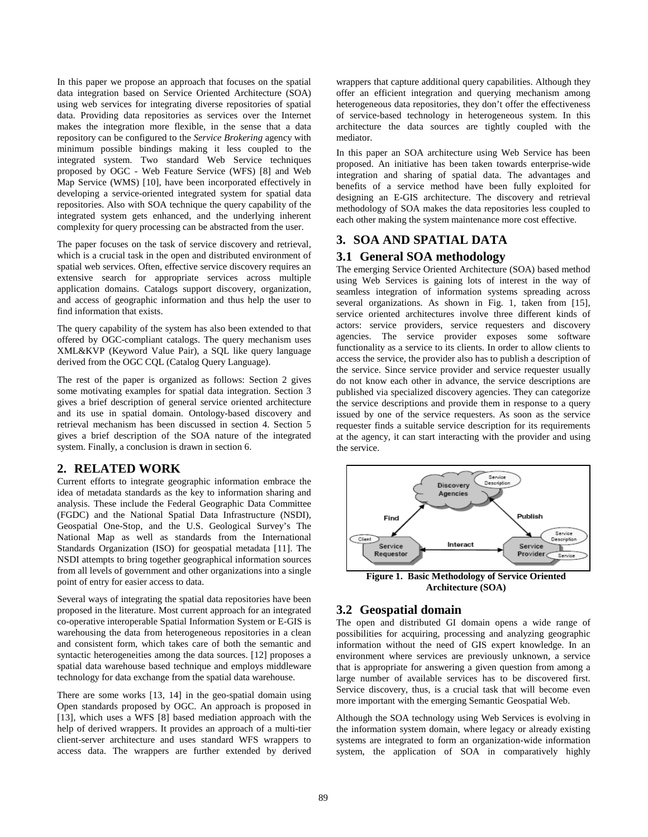In this paper we propose an approach that focuses on the spatial data integration based on Service Oriented Architecture (SOA) using web services for integrating diverse repositories of spatial data. Providing data repositories as services over the Internet makes the integration more flexible, in the sense that a data repository can be configured to the *Service Brokering* agency with minimum possible bindings making it less coupled to the integrated system. Two standard Web Service techniques proposed by OGC - Web Feature Service (WFS) [8] and Web Map Service (WMS) [10], have been incorporated effectively in developing a service-oriented integrated system for spatial data repositories. Also with SOA technique the query capability of the integrated system gets enhanced, and the underlying inherent complexity for query processing can be abstracted from the user.

The paper focuses on the task of service discovery and retrieval, which is a crucial task in the open and distributed environment of spatial web services. Often, effective service discovery requires an extensive search for appropriate services across multiple application domains. Catalogs support discovery, organization, and access of geographic information and thus help the user to find information that exists.

The query capability of the system has also been extended to that offered by OGC-compliant catalogs. The query mechanism uses XML&KVP (Keyword Value Pair), a SQL like query language derived from the OGC CQL (Catalog Query Language).

The rest of the paper is organized as follows: Section 2 gives some motivating examples for spatial data integration. Section 3 gives a brief description of general service oriented architecture and its use in spatial domain. Ontology-based discovery and retrieval mechanism has been discussed in section 4. Section 5 gives a brief description of the SOA nature of the integrated system. Finally, a conclusion is drawn in section 6.

## **2. RELATED WORK**

Current efforts to integrate geographic information embrace the idea of metadata standards as the key to information sharing and analysis. These include the Federal Geographic Data Committee (FGDC) and the National Spatial Data Infrastructure (NSDI), Geospatial One-Stop, and the U.S. Geological Survey's The National Map as well as standards from the International Standards Organization (ISO) for geospatial metadata [11]. The NSDI attempts to bring together geographical information sources from all levels of government and other organizations into a single point of entry for easier access to data.

Several ways of integrating the spatial data repositories have been proposed in the literature. Most current approach for an integrated co-operative interoperable Spatial Information System or E-GIS is warehousing the data from heterogeneous repositories in a clean and consistent form, which takes care of both the semantic and syntactic heterogeneities among the data sources. [12] proposes a spatial data warehouse based technique and employs middleware technology for data exchange from the spatial data warehouse.

There are some works [13, 14] in the geo-spatial domain using Open standards proposed by OGC. An approach is proposed in [13], which uses a WFS [8] based mediation approach with the help of derived wrappers. It provides an approach of a multi-tier client-server architecture and uses standard WFS wrappers to access data. The wrappers are further extended by derived

wrappers that capture additional query capabilities. Although they offer an efficient integration and querying mechanism among heterogeneous data repositories, they don't offer the effectiveness of service-based technology in heterogeneous system. In this architecture the data sources are tightly coupled with the mediator.

In this paper an SOA architecture using Web Service has been proposed. An initiative has been taken towards enterprise-wide integration and sharing of spatial data. The advantages and benefits of a service method have been fully exploited for designing an E-GIS architecture. The discovery and retrieval methodology of SOA makes the data repositories less coupled to each other making the system maintenance more cost effective.

## **3. SOA AND SPATIAL DATA**

## **3.1 General SOA methodology**

The emerging Service Oriented Architecture (SOA) based method using Web Services is gaining lots of interest in the way of seamless integration of information systems spreading across several organizations. As shown in Fig. 1, taken from [15], service oriented architectures involve three different kinds of actors: service providers, service requesters and discovery agencies. The service provider exposes some software functionality as a service to its clients. In order to allow clients to access the service, the provider also has to publish a description of the service. Since service provider and service requester usually do not know each other in advance, the service descriptions are published via specialized discovery agencies. They can categorize the service descriptions and provide them in response to a query issued by one of the service requesters. As soon as the service requester finds a suitable service description for its requirements at the agency, it can start interacting with the provider and using the service.



**Architecture (SOA)** 

## **3.2 Geospatial domain**

The open and distributed GI domain opens a wide range of possibilities for acquiring, processing and analyzing geographic information without the need of GIS expert knowledge. In an environment where services are previously unknown, a service that is appropriate for answering a given question from among a large number of available services has to be discovered first. Service discovery, thus, is a crucial task that will become even more important with the emerging Semantic Geospatial Web.

Although the SOA technology using Web Services is evolving in the information system domain, where legacy or already existing systems are integrated to form an organization-wide information system, the application of SOA in comparatively highly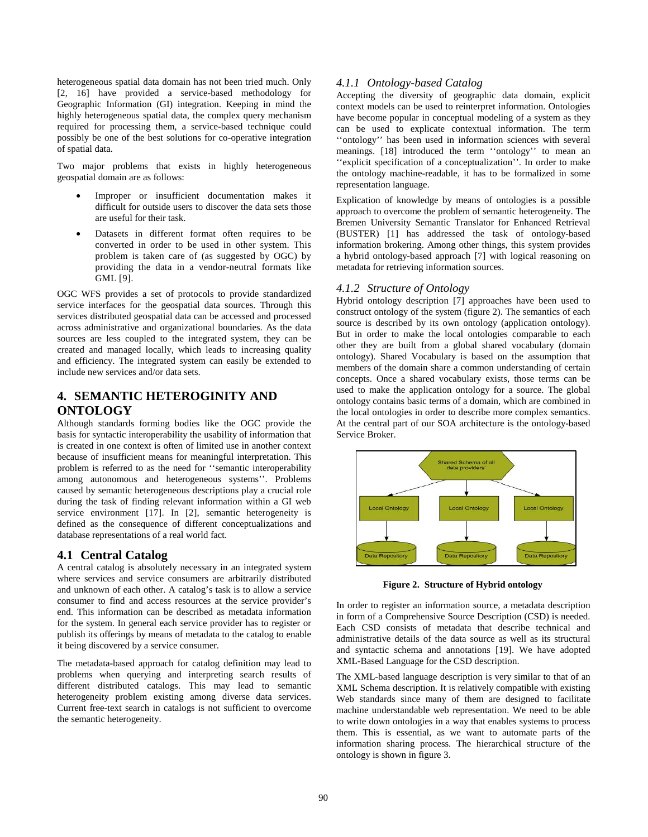heterogeneous spatial data domain has not been tried much. Only [2, 16] have provided a service-based methodology for Geographic Information (GI) integration. Keeping in mind the highly heterogeneous spatial data, the complex query mechanism required for processing them, a service-based technique could possibly be one of the best solutions for co-operative integration of spatial data.

Two major problems that exists in highly heterogeneous geospatial domain are as follows:

- Improper or insufficient documentation makes it difficult for outside users to discover the data sets those are useful for their task.
- Datasets in different format often requires to be converted in order to be used in other system. This problem is taken care of (as suggested by OGC) by providing the data in a vendor-neutral formats like GML [9].

OGC WFS provides a set of protocols to provide standardized service interfaces for the geospatial data sources. Through this services distributed geospatial data can be accessed and processed across administrative and organizational boundaries. As the data sources are less coupled to the integrated system, they can be created and managed locally, which leads to increasing quality and efficiency. The integrated system can easily be extended to include new services and/or data sets.

## **4. SEMANTIC HETEROGINITY AND ONTOLOGY**

Although standards forming bodies like the OGC provide the basis for syntactic interoperability the usability of information that is created in one context is often of limited use in another context because of insufficient means for meaningful interpretation. This problem is referred to as the need for ''semantic interoperability among autonomous and heterogeneous systems''. Problems caused by semantic heterogeneous descriptions play a crucial role during the task of finding relevant information within a GI web service environment [17]. In [2], semantic heterogeneity is defined as the consequence of different conceptualizations and database representations of a real world fact.

## **4.1 Central Catalog**

A central catalog is absolutely necessary in an integrated system where services and service consumers are arbitrarily distributed and unknown of each other. A catalog's task is to allow a service consumer to find and access resources at the service provider's end. This information can be described as metadata information for the system. In general each service provider has to register or publish its offerings by means of metadata to the catalog to enable it being discovered by a service consumer.

The metadata-based approach for catalog definition may lead to problems when querying and interpreting search results of different distributed catalogs. This may lead to semantic heterogeneity problem existing among diverse data services. Current free-text search in catalogs is not sufficient to overcome the semantic heterogeneity.

#### *4.1.1 Ontology-based Catalog*

Accepting the diversity of geographic data domain, explicit context models can be used to reinterpret information. Ontologies have become popular in conceptual modeling of a system as they can be used to explicate contextual information. The term ''ontology'' has been used in information sciences with several meanings. [18] introduced the term ''ontology'' to mean an ''explicit specification of a conceptualization''. In order to make the ontology machine-readable, it has to be formalized in some representation language.

Explication of knowledge by means of ontologies is a possible approach to overcome the problem of semantic heterogeneity. The Bremen University Semantic Translator for Enhanced Retrieval (BUSTER) [1] has addressed the task of ontology-based information brokering. Among other things, this system provides a hybrid ontology-based approach [7] with logical reasoning on metadata for retrieving information sources.

#### *4.1.2 Structure of Ontology*

Hybrid ontology description [7] approaches have been used to construct ontology of the system (figure 2). The semantics of each source is described by its own ontology (application ontology). But in order to make the local ontologies comparable to each other they are built from a global shared vocabulary (domain ontology). Shared Vocabulary is based on the assumption that members of the domain share a common understanding of certain concepts. Once a shared vocabulary exists, those terms can be used to make the application ontology for a source. The global ontology contains basic terms of a domain, which are combined in the local ontologies in order to describe more complex semantics. At the central part of our SOA architecture is the ontology-based Service Broker.



**Figure 2. Structure of Hybrid ontology** 

In order to register an information source, a metadata description in form of a Comprehensive Source Description (CSD) is needed. Each CSD consists of metadata that describe technical and administrative details of the data source as well as its structural and syntactic schema and annotations [19]. We have adopted XML-Based Language for the CSD description.

The XML-based language description is very similar to that of an XML Schema description. It is relatively compatible with existing Web standards since many of them are designed to facilitate machine understandable web representation. We need to be able to write down ontologies in a way that enables systems to process them. This is essential, as we want to automate parts of the information sharing process. The hierarchical structure of the ontology is shown in figure 3.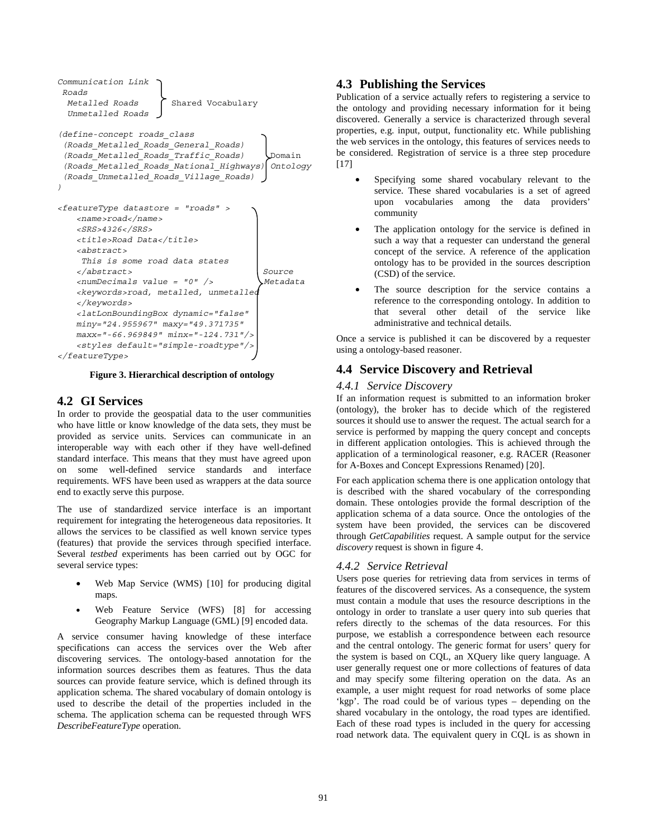```
Communication Link 
 Roads 
 Metalled Roads > Shared Vocabulary
  Unmetalled Roads 
(define-concept roads_class 
  (Roads_Metalled_Roads_General_Roads) 
  (Roads_Metalled_Roads_Traffic_Roads) Domain 
  (Roads_Metalled_Roads_National_Highways) Ontology 
  (Roads_Unmetalled_Roads_Village_Roads) 
) 
<featureType datastore = "roads" > 
    <name>road</name> 
    <SRS>4326</SRS> 
    <title>Road Data</title> 
   <abstract> 
     This is some road data states 
   </abstract> Source 
    <numDecimals value = "0" /> Metadata 
   <keywords>road, metalled, unmetalled 
   </keywords> 
   <latLonBoundingBox dynamic="false" 
   miny="24.955967" maxy="49.371735" 
   maxx="-66.969849" minx="-124.731"/> 
    <styles default="simple-roadtype"/> 
</featureType>
```
**Figure 3. Hierarchical description of ontology** 

## **4.2 GI Services**

In order to provide the geospatial data to the user communities who have little or know knowledge of the data sets, they must be provided as service units. Services can communicate in an interoperable way with each other if they have well-defined standard interface. This means that they must have agreed upon on some well-defined service standards and interface requirements. WFS have been used as wrappers at the data source end to exactly serve this purpose.

The use of standardized service interface is an important requirement for integrating the heterogeneous data repositories. It allows the services to be classified as well known service types (features) that provide the services through specified interface. Several *testbed* experiments has been carried out by OGC for several service types:

- Web Map Service (WMS) [10] for producing digital maps.
- Web Feature Service (WFS) [8] for accessing Geography Markup Language (GML) [9] encoded data.

A service consumer having knowledge of these interface specifications can access the services over the Web after discovering services. The ontology-based annotation for the information sources describes them as features. Thus the data sources can provide feature service, which is defined through its application schema. The shared vocabulary of domain ontology is used to describe the detail of the properties included in the schema. The application schema can be requested through WFS *DescribeFeatureType* operation.

## **4.3 Publishing the Services**

Publication of a service actually refers to registering a service to the ontology and providing necessary information for it being discovered. Generally a service is characterized through several properties, e.g. input, output, functionality etc. While publishing the web services in the ontology, this features of services needs to be considered. Registration of service is a three step procedure [17]

- Specifying some shared vocabulary relevant to the service. These shared vocabularies is a set of agreed upon vocabularies among the data providers' community
- The application ontology for the service is defined in such a way that a requester can understand the general concept of the service. A reference of the application ontology has to be provided in the sources description (CSD) of the service.
- The source description for the service contains a reference to the corresponding ontology. In addition to that several other detail of the service like administrative and technical details.

Once a service is published it can be discovered by a requester using a ontology-based reasoner.

# **4.4 Service Discovery and Retrieval**

## *4.4.1 Service Discovery*

If an information request is submitted to an information broker (ontology), the broker has to decide which of the registered sources it should use to answer the request. The actual search for a service is performed by mapping the query concept and concepts in different application ontologies. This is achieved through the application of a terminological reasoner, e.g. RACER (Reasoner for A-Boxes and Concept Expressions Renamed) [20].

For each application schema there is one application ontology that is described with the shared vocabulary of the corresponding domain. These ontologies provide the formal description of the application schema of a data source. Once the ontologies of the system have been provided, the services can be discovered through *GetCapabilities* request. A sample output for the service *discovery* request is shown in figure 4.

## *4.4.2 Service Retrieval*

Users pose queries for retrieving data from services in terms of features of the discovered services. As a consequence, the system must contain a module that uses the resource descriptions in the ontology in order to translate a user query into sub queries that refers directly to the schemas of the data resources. For this purpose, we establish a correspondence between each resource and the central ontology. The generic format for users' query for the system is based on CQL, an XQuery like query language. A user generally request one or more collections of features of data and may specify some filtering operation on the data. As an example, a user might request for road networks of some place 'kgp'. The road could be of various types – depending on the shared vocabulary in the ontology, the road types are identified. Each of these road types is included in the query for accessing road network data. The equivalent query in CQL is as shown in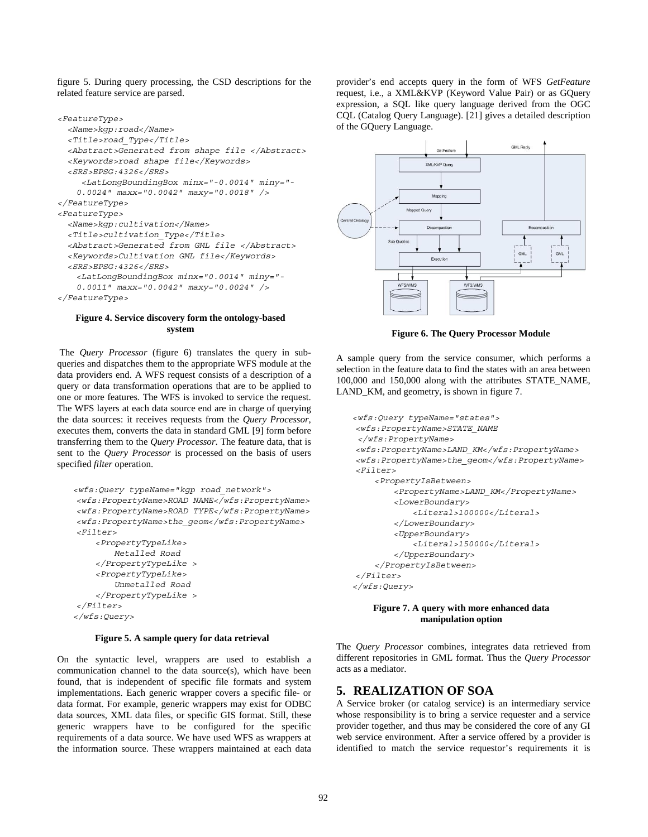figure 5. During query processing, the CSD descriptions for the related feature service are parsed.

```
<FeatureType> 
   <Name>kgp:road</Name> 
   <Title>road_Type</Title> 
   <Abstract>Generated from shape file </Abstract> 
   <Keywords>road shape file</Keywords> 
  <SRS>EPSG:4326</SRS> 
      <LatLongBoundingBox minx="-0.0014" miny="- 
   0.0024" maxx="0.0042" maxy="0.0018" /> 
</FeatureType> 
<FeatureType> 
  <Name>kgp:cultivation</Name> 
   <Title>cultivation_Type</Title> 
   <Abstract>Generated from GML file </Abstract> 
   <Keywords>Cultivation GML file</Keywords> 
   <SRS>EPSG:4326</SRS> 
   <LatLongBoundingBox minx="0.0014" miny="-
   0.0011" maxx="0.0042" maxy="0.0024" /> 
</FeatureType>
```
#### **Figure 4. Service discovery form the ontology-based system**

 The *Query Processor* (figure 6) translates the query in subqueries and dispatches them to the appropriate WFS module at the data providers end. A WFS request consists of a description of a query or data transformation operations that are to be applied to one or more features. The WFS is invoked to service the request. The WFS layers at each data source end are in charge of querying the data sources: it receives requests from the *Query Processor*, executes them, converts the data in standard GML [9] form before transferring them to the *Query Processor*. The feature data, that is sent to the *Query Processor* is processed on the basis of users specified *filter* operation.

```
<wfs:Query typeName="kgp road_network"> 
 <wfs:PropertyName>ROAD NAME</wfs:PropertyName> 
 <wfs:PropertyName>ROAD TYPE</wfs:PropertyName> 
 <wfs:PropertyName>the_geom</wfs:PropertyName> 
 <Filter> 
     <PropertyTypeLike> 
         Metalled Road 
     </PropertyTypeLike > 
     <PropertyTypeLike> 
         Unmetalled Road 
     </PropertyTypeLike > 
 </Filter> 
</wfs:Query>
```
#### **Figure 5. A sample query for data retrieval**

On the syntactic level, wrappers are used to establish a communication channel to the data source(s), which have been found, that is independent of specific file formats and system implementations. Each generic wrapper covers a specific file- or data format. For example, generic wrappers may exist for ODBC data sources, XML data files, or specific GIS format. Still, these generic wrappers have to be configured for the specific requirements of a data source. We have used WFS as wrappers at the information source. These wrappers maintained at each data

provider's end accepts query in the form of WFS *GetFeature*  request, i.e., a XML&KVP (Keyword Value Pair) or as GQuery expression, a SQL like query language derived from the OGC CQL (Catalog Query Language). [21] gives a detailed description of the GQuery Language.



**Figure 6. The Query Processor Module** 

A sample query from the service consumer, which performs a selection in the feature data to find the states with an area between 100,000 and 150,000 along with the attributes STATE\_NAME, LAND\_KM, and geometry, is shown in figure 7.

```
<wfs:Query typeName="states"> 
 <wfs:PropertyName>STATE_NAME 
 </wfs:PropertyName> 
 <wfs:PropertyName>LAND_KM</wfs:PropertyName> 
 <wfs:PropertyName>the_geom</wfs:PropertyName> 
 <Filter> 
     <PropertyIsBetween> 
          <PropertyName>LAND_KM</PropertyName> 
          <LowerBoundary> 
              <Literal>100000</Literal> 
          </LowerBoundary> 
          <UpperBoundary> 
              <Literal>150000</Literal> 
          </UpperBoundary> 
     </PropertyIsBetween> 
 </Filter> 
</wfs:Query>
```
**Figure 7. A query with more enhanced data manipulation option** 

The *Query Processor* combines, integrates data retrieved from different repositories in GML format. Thus the *Query Processor* acts as a mediator.

#### **5. REALIZATION OF SOA**

A Service broker (or catalog service) is an intermediary service whose responsibility is to bring a service requester and a service provider together, and thus may be considered the core of any GI web service environment. After a service offered by a provider is identified to match the service requestor's requirements it is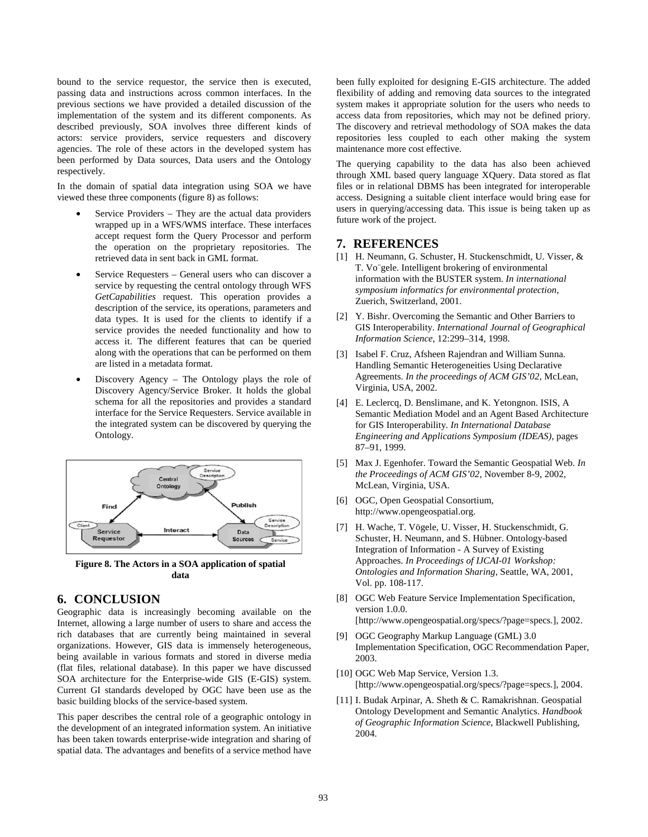bound to the service requestor, the service then is executed, passing data and instructions across common interfaces. In the previous sections we have provided a detailed discussion of the implementation of the system and its different components. As described previously, SOA involves three different kinds of actors: service providers, service requesters and discovery agencies. The role of these actors in the developed system has been performed by Data sources, Data users and the Ontology respectively.

In the domain of spatial data integration using SOA we have viewed these three components (figure 8) as follows:

- Service Providers They are the actual data providers wrapped up in a WFS/WMS interface. These interfaces accept request form the Query Processor and perform the operation on the proprietary repositories. The retrieved data in sent back in GML format.
- Service Requesters General users who can discover a service by requesting the central ontology through WFS *GetCapabilities* request. This operation provides a description of the service, its operations, parameters and data types. It is used for the clients to identify if a service provides the needed functionality and how to access it. The different features that can be queried along with the operations that can be performed on them are listed in a metadata format.
- Discovery Agency The Ontology plays the role of Discovery Agency/Service Broker. It holds the global schema for all the repositories and provides a standard interface for the Service Requesters. Service available in the integrated system can be discovered by querying the Ontology.



**Figure 8. The Actors in a SOA application of spatial data** 

## **6. CONCLUSION**

Geographic data is increasingly becoming available on the Internet, allowing a large number of users to share and access the rich databases that are currently being maintained in several organizations. However, GIS data is immensely heterogeneous, being available in various formats and stored in diverse media (flat files, relational database). In this paper we have discussed SOA architecture for the Enterprise-wide GIS (E-GIS) system. Current GI standards developed by OGC have been use as the basic building blocks of the service-based system.

This paper describes the central role of a geographic ontology in the development of an integrated information system. An initiative has been taken towards enterprise-wide integration and sharing of spatial data. The advantages and benefits of a service method have

been fully exploited for designing E-GIS architecture. The added flexibility of adding and removing data sources to the integrated system makes it appropriate solution for the users who needs to access data from repositories, which may not be defined priory. The discovery and retrieval methodology of SOA makes the data repositories less coupled to each other making the system maintenance more cost effective.

The querying capability to the data has also been achieved through XML based query language XQuery. Data stored as flat files or in relational DBMS has been integrated for interoperable access. Designing a suitable client interface would bring ease for users in querying/accessing data. This issue is being taken up as future work of the project.

## **7. REFERENCES**

- [1] H. Neumann, G. Schuster, H. Stuckenschmidt, U. Visser, & T. Vo¨gele. Intelligent brokering of environmental information with the BUSTER system. *In international symposium informatics for environmental protection*, Zuerich, Switzerland, 2001.
- [2] Y. Bishr. Overcoming the Semantic and Other Barriers to GIS Interoperability. *International Journal of Geographical Information Science*, 12:299–314, 1998.
- [3] Isabel F. Cruz, Afsheen Rajendran and William Sunna. Handling Semantic Heterogeneities Using Declarative Agreements. *In the proceedings of ACM GIS'02*, McLean, Virginia, USA, 2002.
- [4] E. Leclercq, D. Benslimane, and K. Yetongnon. ISIS, A Semantic Mediation Model and an Agent Based Architecture for GIS Interoperability. *In International Database Engineering and Applications Symposium (IDEAS)*, pages 87–91, 1999.
- [5] Max J. Egenhofer. Toward the Semantic Geospatial Web. *In the Proceedings of ACM GIS'02*, November 8-9, 2002, McLean, Virginia, USA.
- [6] OGC, Open Geospatial Consortium, http://www.opengeospatial.org.
- [7] H. Wache, T. Vögele, U. Visser, H. Stuckenschmidt, G. Schuster, H. Neumann, and S. Hübner. Ontology-based Integration of Information - A Survey of Existing Approaches. *In Proceedings of IJCAI-01 Workshop: Ontologies and Information Sharing*, Seattle, WA, 2001, Vol. pp. 108-117.
- [8] OGC Web Feature Service Implementation Specification, version 1.0.0. [http://www.opengeospatial.org/specs/?page=specs.], 2002.
- [9] OGC Geography Markup Language (GML) 3.0 Implementation Specification, OGC Recommendation Paper, 2003.
- [10] OGC Web Map Service, Version 1.3. [http://www.opengeospatial.org/specs/?page=specs.], 2004.
- [11] I. Budak Arpinar, A. Sheth & C. Ramakrishnan. Geospatial Ontology Development and Semantic Analytics. *Handbook of Geographic Information Science*, Blackwell Publishing, 2004.